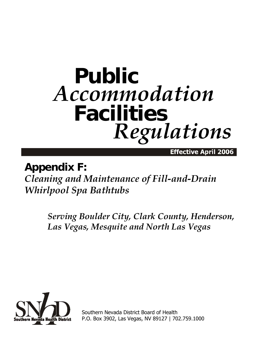## **Public** *Accommodation* **Facilities** *Regulations*

Effective April 2006

## **Appendix F:**

*Cleaning and Maintenance of Fill-and-Drain Whirlpool Spa Bathtubs*

> *Serving Boulder City, Clark County, Henderson, Las Vegas, Mesquite and North Las Vegas*



Southern Nevada District Board of Health P.O. Box 3902, Las Vegas, NV 89127 | 702.759.1000